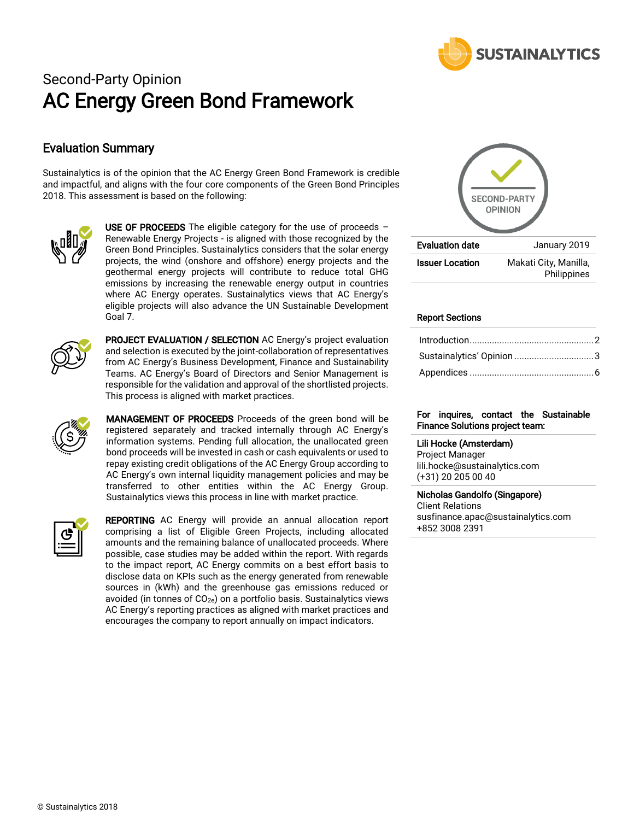

# Second-Party Opinion AC Energy Green Bond Framework

## Evaluation Summary

Sustainalytics is of the opinion that the AC Energy Green Bond Framework is credible and impactful, and aligns with the four core components of the Green Bond Principles 2018. This assessment is based on the following:



USE OF PROCEEDS The eligible category for the use of proceeds  $-$ Renewable Energy Projects - is aligned with those recognized by the Green Bond Principles. Sustainalytics considers that the solar energy projects, the wind (onshore and offshore) energy projects and the geothermal energy projects will contribute to reduce total GHG emissions by increasing the renewable energy output in countries where AC Energy operates. Sustainalytics views that AC Energy's eligible projects will also advance the UN Sustainable Development Goal 7.



PROJECT EVALUATION / SELECTION AC Energy's project evaluation and selection is executed by the joint-collaboration of representatives from AC Energy's Business Development, Finance and Sustainability Teams. AC Energy's Board of Directors and Senior Management is responsible for the validation and approval of the shortlisted projects. This process is aligned with market practices.



MANAGEMENT OF PROCEEDS Proceeds of the green bond will be registered separately and tracked internally through AC Energy's information systems. Pending full allocation, the unallocated green bond proceeds will be invested in cash or cash equivalents or used to repay existing credit obligations of the AC Energy Group according to AC Energy's own internal liquidity management policies and may be transferred to other entities within the AC Energy Group. Sustainalytics views this process in line with market practice.



REPORTING AC Energy will provide an annual allocation report comprising a list of Eligible Green Projects, including allocated amounts and the remaining balance of unallocated proceeds. Where possible, case studies may be added within the report. With regards to the impact report, AC Energy commits on a best effort basis to disclose data on KPIs such as the energy generated from renewable sources in (kWh) and the greenhouse gas emissions reduced or avoided (in tonnes of  $CO<sub>2e</sub>$ ) on a portfolio basis. Sustainalytics views AC Energy's reporting practices as aligned with market practices and encourages the company to report annually on impact indicators.



#### Report Sections

| Sustainalytics' Opinion 3 |  |
|---------------------------|--|
|                           |  |

#### For inquires, contact the Sustainable Finance Solutions project team:

Lili Hocke (Amsterdam) Project Manager lili.hocke@sustainalytics.com (+31) 20 205 00 40

#### Nicholas Gandolfo (Singapore)

Client Relations susfinance.apac@sustainalytics.com +852 3008 2391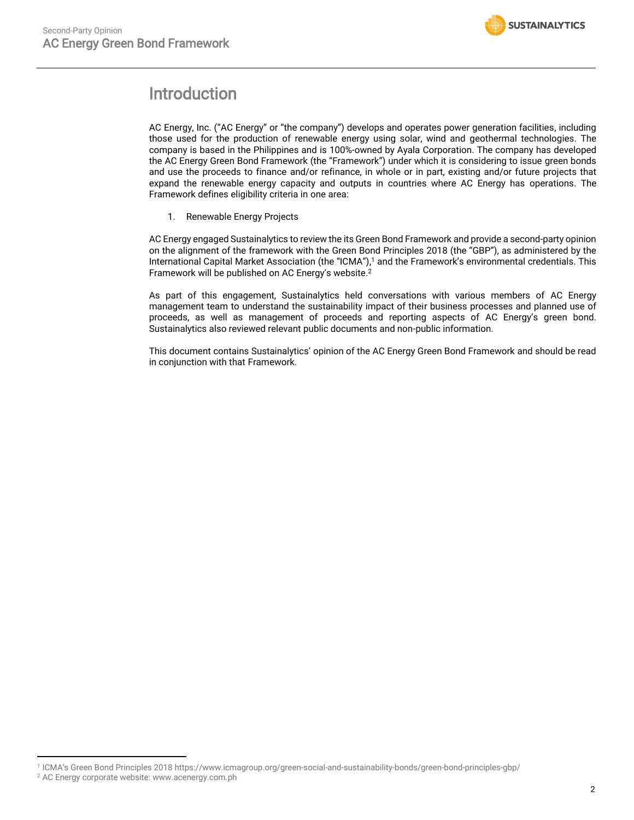

# <span id="page-1-0"></span>Introduction

AC Energy, Inc. ("AC Energy" or "the company") develops and operates power generation facilities, including those used for the production of renewable energy using solar, wind and geothermal technologies. The company is based in the Philippines and is 100%-owned by Ayala Corporation. The company has developed the AC Energy Green Bond Framework (the "Framework") under which it is considering to issue green bonds and use the proceeds to finance and/or refinance, in whole or in part, existing and/or future projects that expand the renewable energy capacity and outputs in countries where AC Energy has operations. The Framework defines eligibility criteria in one area:

1. Renewable Energy Projects

AC Energy engaged Sustainalytics to review the its Green Bond Framework and provide a second-party opinion on the alignment of the framework with the Green Bond Principles 2018 (the "GBP"), as administered by the International Capital Market Association (the "ICMA"), <sup>1</sup> and the Framework's environmental credentials. This Framework will be published on AC Energy's website. 2

As part of this engagement, Sustainalytics held conversations with various members of AC Energy management team to understand the sustainability impact of their business processes and planned use of proceeds, as well as management of proceeds and reporting aspects of AC Energy's green bond. Sustainalytics also reviewed relevant public documents and non-public information.

This document contains Sustainalytics' opinion of the AC Energy Green Bond Framework and should be read in conjunction with that Framework.

 $\overline{a}$ 

<sup>1</sup> ICMA's Green Bond Principles 201[8 https://www.icmagroup.org/green-social-and-sustainability-bonds/green-bond-principles-gbp/](https://www.icmagroup.org/green-social-and-sustainability-bonds/green-bond-principles-gbp/)

<sup>2</sup> AC Energy corporate website[: www.acenergy.com.ph](http://www.acenergy.com.ph/)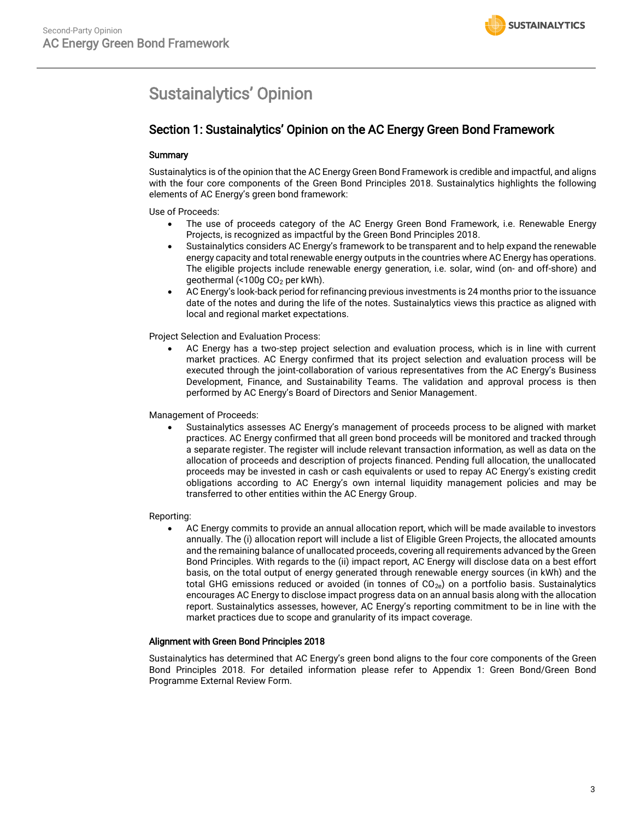# <span id="page-2-0"></span>Sustainalytics' Opinion

# Section 1: Sustainalytics' Opinion on the AC Energy Green Bond Framework

#### **Summary**

Sustainalytics is of the opinion that the AC Energy Green Bond Framework is credible and impactful, and aligns with the four core components of the Green Bond Principles 2018. Sustainalytics highlights the following elements of AC Energy's green bond framework:

Use of Proceeds:

- The use of proceeds category of the AC Energy Green Bond Framework, i.e. Renewable Energy Projects, is recognized as impactful by the Green Bond Principles 2018.
- Sustainalytics considers AC Energy's framework to be transparent and to help expand the renewable energy capacity and total renewable energy outputs in the countries where AC Energy has operations. The eligible projects include renewable energy generation, i.e. solar, wind (on- and off-shore) and geothermal (<100g CO<sup>2</sup> per kWh).
- AC Energy's look-back period for refinancing previous investments is 24 months prior to the issuance date of the notes and during the life of the notes. Sustainalytics views this practice as aligned with local and regional market expectations.

Project Selection and Evaluation Process:

• AC Energy has a two-step project selection and evaluation process, which is in line with current market practices. AC Energy confirmed that its project selection and evaluation process will be executed through the joint-collaboration of various representatives from the AC Energy's Business Development, Finance, and Sustainability Teams. The validation and approval process is then performed by AC Energy's Board of Directors and Senior Management.

Management of Proceeds:

• Sustainalytics assesses AC Energy's management of proceeds process to be aligned with market practices. AC Energy confirmed that all green bond proceeds will be monitored and tracked through a separate register. The register will include relevant transaction information, as well as data on the allocation of proceeds and description of projects financed. Pending full allocation, the unallocated proceeds may be invested in cash or cash equivalents or used to repay AC Energy's existing credit obligations according to AC Energy's own internal liquidity management policies and may be transferred to other entities within the AC Energy Group.

#### Reporting:

• AC Energy commits to provide an annual allocation report, which will be made available to investors annually. The (i) allocation report will include a list of Eligible Green Projects, the allocated amounts and the remaining balance of unallocated proceeds, covering all requirements advanced by the Green Bond Principles. With regards to the (ii) impact report, AC Energy will disclose data on a best effort basis, on the total output of energy generated through renewable energy sources (in kWh) and the total GHG emissions reduced or avoided (in tonnes of  $CO<sub>2e</sub>$ ) on a portfolio basis. Sustainalytics encourages AC Energy to disclose impact progress data on an annual basis along with the allocation report. Sustainalytics assesses, however, AC Energy's reporting commitment to be in line with the market practices due to scope and granularity of its impact coverage.

#### Alignment with Green Bond Principles 2018

Sustainalytics has determined that AC Energy's green bond aligns to the four core components of the Green Bond Principles 2018. For detailed information please refer to Appendix 1: Green Bond/Green Bond Programme External Review Form.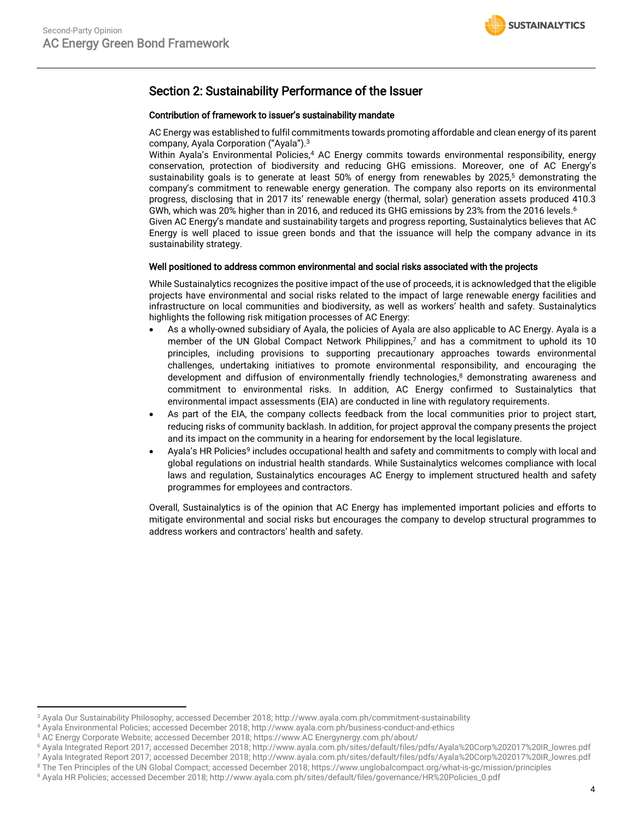## Section 2: Sustainability Performance of the Issuer

#### Contribution of framework to issuer's sustainability mandate

AC Energy was established to fulfil commitments towards promoting affordable and clean energy of its parent company, Ayala Corporation ("Ayala"). 3

Within Ayala's Environmental Policies,<sup>4</sup> AC Energy commits towards environmental responsibility, energy conservation, protection of biodiversity and reducing GHG emissions. Moreover, one of AC Energy's sustainability goals is to generate at least 50% of energy from renewables by 2025, <sup>5</sup> demonstrating the company's commitment to renewable energy generation. The company also reports on its environmental progress, disclosing that in 2017 its' renewable energy (thermal, solar) generation assets produced 410.3 GWh, which was 20% higher than in 2016, and reduced its GHG emissions by 23% from the 2016 levels. 6 Given AC Energy's mandate and sustainability targets and progress reporting, Sustainalytics believes that AC Energy is well placed to issue green bonds and that the issuance will help the company advance in its sustainability strategy.

#### Well positioned to address common environmental and social risks associated with the projects

While Sustainalytics recognizes the positive impact of the use of proceeds, it is acknowledged that the eligible projects have environmental and social risks related to the impact of large renewable energy facilities and infrastructure on local communities and biodiversity, as well as workers' health and safety. Sustainalytics highlights the following risk mitigation processes of AC Energy:

- As a wholly-owned subsidiary of Ayala, the policies of Ayala are also applicable to AC Energy. Ayala is a member of the UN Global Compact Network Philippines,<sup>7</sup> and has a commitment to uphold its 10 principles, including provisions to supporting precautionary approaches towards environmental challenges, undertaking initiatives to promote environmental responsibility, and encouraging the development and diffusion of environmentally friendly technologies, <sup>8</sup> demonstrating awareness and commitment to environmental risks. In addition, AC Energy confirmed to Sustainalytics that environmental impact assessments (EIA) are conducted in line with regulatory requirements.
- As part of the EIA, the company collects feedback from the local communities prior to project start, reducing risks of community backlash. In addition, for project approval the company presents the project and its impact on the community in a hearing for endorsement by the local legislature.
- Ayala's HR Policies<sup>9</sup> includes occupational health and safety and commitments to comply with local and global regulations on industrial health standards. While Sustainalytics welcomes compliance with local laws and regulation, Sustainalytics encourages AC Energy to implement structured health and safety programmes for employees and contractors.

Overall, Sustainalytics is of the opinion that AC Energy has implemented important policies and efforts to mitigate environmental and social risks but encourages the company to develop structural programmes to address workers and contractors' health and safety.

 $\overline{a}$ 

<sup>3</sup> Ayala Our Sustainability Philosophy; accessed December 2018[; http://www.ayala.com.ph/commitment-sustainability](http://www.ayala.com.ph/commitment-sustainability)

<sup>4</sup> Ayala Environmental Policies; accessed December 2018[; http://www.ayala.com.ph/business-conduct-and-ethics](http://www.ayala.com.ph/business-conduct-and-ethics)

<sup>5</sup> AC Energy Corporate Website; accessed December 2018; https://www.AC Energynergy.com.ph/about/

<sup>6</sup> Ayala Integrated Report 2017; accessed December 2018; [http://www.ayala.com.ph/sites/default/files/pdfs/Ayala%20Corp%202017%20IR\\_lowres.pdf](http://www.ayala.com.ph/sites/default/files/pdfs/Ayala%20Corp%202017%20IR_lowres.pdf)

<sup>7</sup> Ayala Integrated Report 2017; accessed December 2018; [http://www.ayala.com.ph/sites/default/files/pdfs/Ayala%20Corp%202017%20IR\\_lowres.pdf](http://www.ayala.com.ph/sites/default/files/pdfs/Ayala%20Corp%202017%20IR_lowres.pdf)

<sup>&</sup>lt;sup>8</sup> The Ten Principles of the UN Global Compact; accessed December 2018;<https://www.unglobalcompact.org/what-is-gc/mission/principles> <sup>9</sup> Ayala HR Policies; accessed December 2018; [http://www.ayala.com.ph/sites/default/files/governance/HR%20Policies\\_0.pdf](http://www.ayala.com.ph/sites/default/files/governance/HR%20Policies_0.pdf)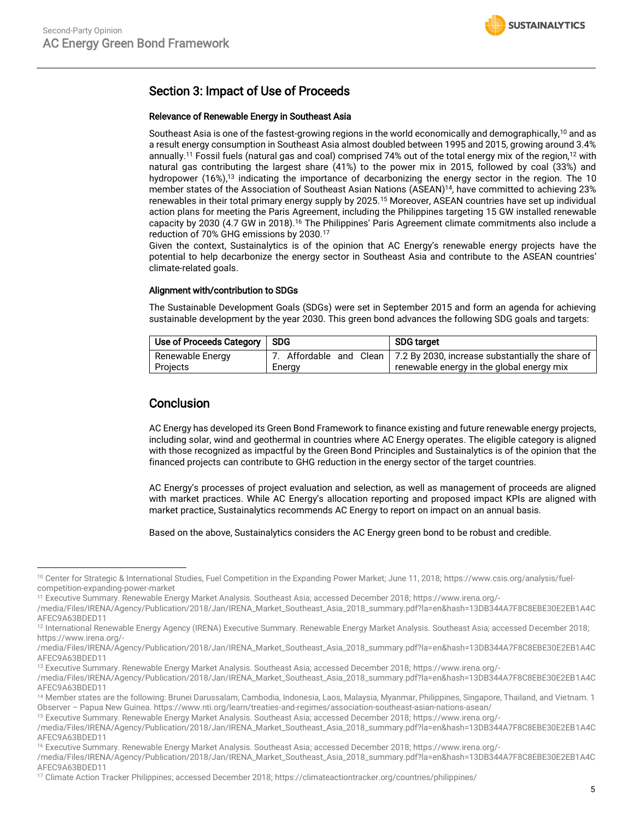# Section 3: Impact of Use of Proceeds

#### Relevance of Renewable Energy in Southeast Asia

Southeast Asia is one of the fastest-growing regions in the world economically and demographically,<sup>10</sup> and as a result energy consumption in Southeast Asia almost doubled between 1995 and 2015, growing around 3.4% annually.<sup>11</sup> Fossil fuels (natural gas and coal) comprised 74% out of the total energy mix of the region,<sup>12</sup> with natural gas contributing the largest share (41%) to the power mix in 2015, followed by coal (33%) and hydropower (16%), <sup>13</sup> indicating the importance of decarbonizing the energy sector in the region. The 10 member states of the Association of Southeast Asian Nations (ASEAN) <sup>14</sup>, have committed to achieving 23% renewables in their total primary energy supply by 2025.<sup>15</sup> Moreover, ASEAN countries have set up individual action plans for meeting the Paris Agreement, including the Philippines targeting 15 GW installed renewable capacity by 2030 (4.7 GW in 2018).<sup>16</sup> The Philippines' Paris Agreement climate commitments also include a reduction of 70% GHG emissions by 2030.<sup>17</sup>

Given the context, Sustainalytics is of the opinion that AC Energy's renewable energy projects have the potential to help decarbonize the energy sector in Southeast Asia and contribute to the ASEAN countries' climate-related goals.

#### Alignment with/contribution to SDGs

The Sustainable Development Goals (SDGs) were set in September 2015 and form an agenda for achieving sustainable development by the year 2030. This green bond advances the following SDG goals and targets:

| Use of Proceeds Category   SDG |        | <b>SDG target</b>                                                          |  |  |
|--------------------------------|--------|----------------------------------------------------------------------------|--|--|
| Renewable Energy               |        | 7. Affordable and Clean   7.2 By 2030, increase substantially the share of |  |  |
| Projects                       | Energy | renewable energy in the global energy mix                                  |  |  |

## **Conclusion**

 $\overline{a}$ 

AC Energy has developed its Green Bond Framework to finance existing and future renewable energy projects, including solar, wind and geothermal in countries where AC Energy operates. The eligible category is aligned with those recognized as impactful by the Green Bond Principles and Sustainalytics is of the opinion that the financed projects can contribute to GHG reduction in the energy sector of the target countries.

AC Energy's processes of project evaluation and selection, as well as management of proceeds are aligned with market practices. While AC Energy's allocation reporting and proposed impact KPIs are aligned with market practice, Sustainalytics recommends AC Energy to report on impact on an annual basis.

Based on the above, Sustainalytics considers the AC Energy green bond to be robust and credible.

<sup>15</sup> Executive Summary. Renewable Energy Market Analysis. Southeast Asia; accessed December 2018; [https://www.irena.org/-](https://www.irena.org/-/media/Files/IRENA/Agency/Publication/2018/Jan/IRENA_Market_Southeast_Asia_2018_summary.pdf?la=en&hash=13DB344A7F8C8EBE30E2EB1A4CAFEC9A63BDED11)

<sup>10</sup> Center for Strategic & International Studies, Fuel Competition in the Expanding Power Market; June 11, 2018[; https://www.csis.org/analysis/fuel](https://www.csis.org/analysis/fuel-competition-expanding-power-market)[competition-expanding-power-market](https://www.csis.org/analysis/fuel-competition-expanding-power-market)

<sup>11</sup> Executive Summary. Renewable Energy Market Analysis. Southeast Asia; accessed December 2018; [https://www.irena.org/-](https://www.irena.org/-/media/Files/IRENA/Agency/Publication/2018/Jan/IRENA_Market_Southeast_Asia_2018_summary.pdf?la=en&hash=13DB344A7F8C8EBE30E2EB1A4CAFEC9A63BDED11)

[<sup>/</sup>media/Files/IRENA/Agency/Publication/2018/Jan/IRENA\\_Market\\_Southeast\\_Asia\\_2018\\_summary.pdf?la=en&hash=13DB344A7F8C8EBE30E2EB1A4C](https://www.irena.org/-/media/Files/IRENA/Agency/Publication/2018/Jan/IRENA_Market_Southeast_Asia_2018_summary.pdf?la=en&hash=13DB344A7F8C8EBE30E2EB1A4CAFEC9A63BDED11) [AFEC9A63BDED11](https://www.irena.org/-/media/Files/IRENA/Agency/Publication/2018/Jan/IRENA_Market_Southeast_Asia_2018_summary.pdf?la=en&hash=13DB344A7F8C8EBE30E2EB1A4CAFEC9A63BDED11)

<sup>&</sup>lt;sup>12</sup> International Renewable Energy Agency (IRENA) Executive Summary. Renewable Energy Market Analysis. Southeast Asia; accessed December 2018; [https://www.irena.org/-](https://www.irena.org/-/media/Files/IRENA/Agency/Publication/2018/Jan/IRENA_Market_Southeast_Asia_2018_summary.pdf?la=en&hash=13DB344A7F8C8EBE30E2EB1A4CAFEC9A63BDED11)

[<sup>/</sup>media/Files/IRENA/Agency/Publication/2018/Jan/IRENA\\_Market\\_Southeast\\_Asia\\_2018\\_summary.pdf?la=en&hash=13DB344A7F8C8EBE30E2EB1A4C](https://www.irena.org/-/media/Files/IRENA/Agency/Publication/2018/Jan/IRENA_Market_Southeast_Asia_2018_summary.pdf?la=en&hash=13DB344A7F8C8EBE30E2EB1A4CAFEC9A63BDED11) [AFEC9A63BDED11](https://www.irena.org/-/media/Files/IRENA/Agency/Publication/2018/Jan/IRENA_Market_Southeast_Asia_2018_summary.pdf?la=en&hash=13DB344A7F8C8EBE30E2EB1A4CAFEC9A63BDED11)

<sup>13</sup> Executive Summary. Renewable Energy Market Analysis. Southeast Asia; accessed December 2018; [https://www.irena.org/-](https://www.irena.org/-/media/Files/IRENA/Agency/Publication/2018/Jan/IRENA_Market_Southeast_Asia_2018_summary.pdf?la=en&hash=13DB344A7F8C8EBE30E2EB1A4CAFEC9A63BDED11)

[<sup>/</sup>media/Files/IRENA/Agency/Publication/2018/Jan/IRENA\\_Market\\_Southeast\\_Asia\\_2018\\_summary.pdf?la=en&hash=13DB344A7F8C8EBE30E2EB1A4C](https://www.irena.org/-/media/Files/IRENA/Agency/Publication/2018/Jan/IRENA_Market_Southeast_Asia_2018_summary.pdf?la=en&hash=13DB344A7F8C8EBE30E2EB1A4CAFEC9A63BDED11) [AFEC9A63BDED11](https://www.irena.org/-/media/Files/IRENA/Agency/Publication/2018/Jan/IRENA_Market_Southeast_Asia_2018_summary.pdf?la=en&hash=13DB344A7F8C8EBE30E2EB1A4CAFEC9A63BDED11)

<sup>&</sup>lt;sup>14</sup> Member states are the following: Brunei Darussalam, Cambodia, Indonesia, Laos, Malaysia, Myanmar, Philippines, Singapore, Thailand, and Vietnam. 1 Observer – Papua New Guinea. https://www.nti.org/learn/treaties-and-regimes/association-southeast-asian-nations-asean/

[<sup>/</sup>media/Files/IRENA/Agency/Publication/2018/Jan/IRENA\\_Market\\_Southeast\\_Asia\\_2018\\_summary.pdf?la=en&hash=13DB344A7F8C8EBE30E2EB1A4C](https://www.irena.org/-/media/Files/IRENA/Agency/Publication/2018/Jan/IRENA_Market_Southeast_Asia_2018_summary.pdf?la=en&hash=13DB344A7F8C8EBE30E2EB1A4CAFEC9A63BDED11) [AFEC9A63BDED11](https://www.irena.org/-/media/Files/IRENA/Agency/Publication/2018/Jan/IRENA_Market_Southeast_Asia_2018_summary.pdf?la=en&hash=13DB344A7F8C8EBE30E2EB1A4CAFEC9A63BDED11)

<sup>16</sup> Executive Summary. Renewable Energy Market Analysis. Southeast Asia; accessed December 2018[; https://www.irena.org/-](https://www.irena.org/-/media/Files/IRENA/Agency/Publication/2018/Jan/IRENA_Market_Southeast_Asia_2018_summary.pdf?la=en&hash=13DB344A7F8C8EBE30E2EB1A4CAFEC9A63BDED11)

[<sup>/</sup>media/Files/IRENA/Agency/Publication/2018/Jan/IRENA\\_Market\\_Southeast\\_Asia\\_2018\\_summary.pdf?la=en&hash=13DB344A7F8C8EBE30E2EB1A4C](https://www.irena.org/-/media/Files/IRENA/Agency/Publication/2018/Jan/IRENA_Market_Southeast_Asia_2018_summary.pdf?la=en&hash=13DB344A7F8C8EBE30E2EB1A4CAFEC9A63BDED11) [AFEC9A63BDED11](https://www.irena.org/-/media/Files/IRENA/Agency/Publication/2018/Jan/IRENA_Market_Southeast_Asia_2018_summary.pdf?la=en&hash=13DB344A7F8C8EBE30E2EB1A4CAFEC9A63BDED11)

<sup>17</sup> Climate Action Tracker Philippines; accessed December 2018[; https://climateactiontracker.org/countries/philippines/](https://climateactiontracker.org/countries/philippines/)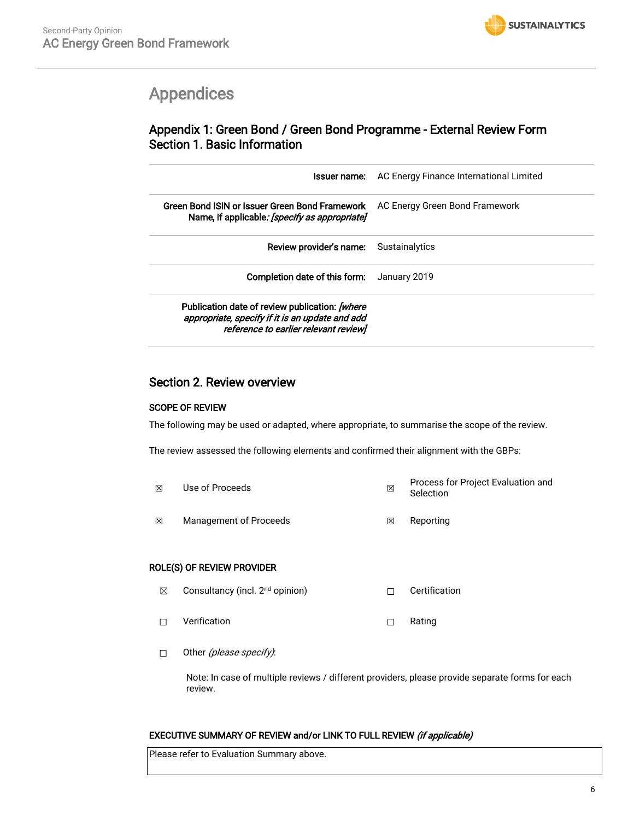

# <span id="page-5-0"></span>Appendices

# Appendix 1: Green Bond / Green Bond Programme - External Review Form Section 1. Basic Information

| Issuer name:                                                                                                                               | AC Energy Finance International Limited |
|--------------------------------------------------------------------------------------------------------------------------------------------|-----------------------------------------|
| Green Bond ISIN or Issuer Green Bond Framework<br>Name, if applicable: [specify as appropriate]                                            | AC Energy Green Bond Framework          |
| Review provider's name:                                                                                                                    | Sustainalytics                          |
| Completion date of this form:                                                                                                              | January 2019                            |
| Publication date of review publication: [where<br>appropriate, specify if it is an update and add<br>reference to earlier relevant review] |                                         |

## Section 2. Review overview

### SCOPE OF REVIEW

The following may be used or adapted, where appropriate, to summarise the scope of the review.

The review assessed the following elements and confirmed their alignment with the GBPs:

☒ Use of Proceeds ☒ Process for Project Evaluation and Selection **<b>⊠** Management of Proceeds **I Reporting I Reporting** 

#### ROLE(S) OF REVIEW PROVIDER

- **⊠** Consultancy (incl. 2<sup>nd</sup> opinion) □ □ Certification
- ☐ Verification ☐ Rating
- □ Other (please specify):

Note: In case of multiple reviews / different providers, please provide separate forms for each review.

#### EXECUTIVE SUMMARY OF REVIEW and/or LINK TO FULL REVIEW (if applicable)

Please refer to Evaluation Summary above.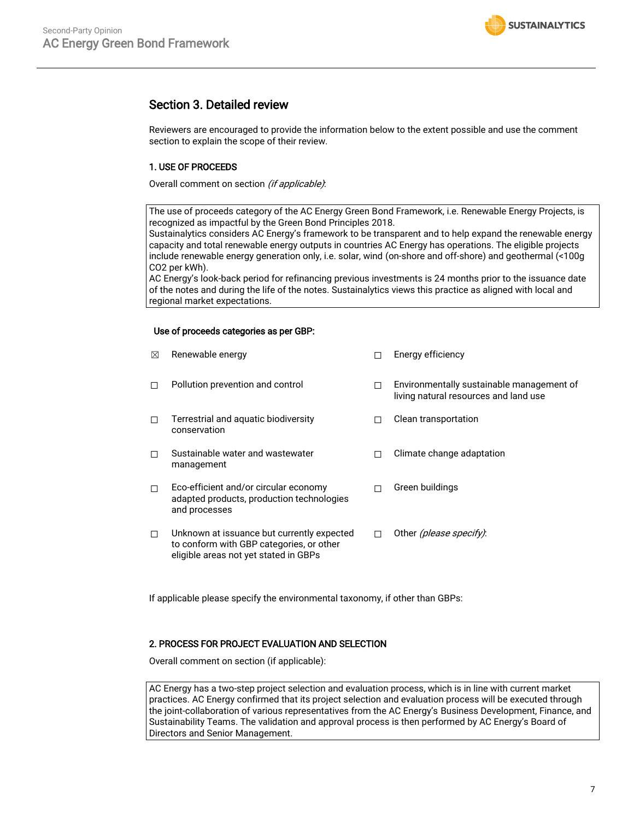## Section 3. Detailed review

Reviewers are encouraged to provide the information below to the extent possible and use the comment section to explain the scope of their review.

#### 1. USE OF PROCEEDS

Overall comment on section (if applicable):

The use of proceeds category of the AC Energy Green Bond Framework, i.e. Renewable Energy Projects, is recognized as impactful by the Green Bond Principles 2018.

Sustainalytics considers AC Energy's framework to be transparent and to help expand the renewable energy capacity and total renewable energy outputs in countries AC Energy has operations. The eligible projects include renewable energy generation only, i.e. solar, wind (on-shore and off-shore) and geothermal (<100g CO2 per kWh).

AC Energy's look-back period for refinancing previous investments is 24 months prior to the issuance date of the notes and during the life of the notes. Sustainalytics views this practice as aligned with local and regional market expectations.

#### Use of proceeds categories as per GBP:

| ⊠ | Renewable energy                                                                                                                |   | Energy efficiency                                                                  |
|---|---------------------------------------------------------------------------------------------------------------------------------|---|------------------------------------------------------------------------------------|
| П | Pollution prevention and control                                                                                                | п | Environmentally sustainable management of<br>living natural resources and land use |
| П | Terrestrial and aquatic biodiversity<br>conservation                                                                            |   | Clean transportation                                                               |
| П | Sustainable water and wastewater<br>management                                                                                  |   | Climate change adaptation                                                          |
| П | Eco-efficient and/or circular economy<br>adapted products, production technologies<br>and processes                             | П | Green buildings                                                                    |
| п | Unknown at issuance but currently expected<br>to conform with GBP categories, or other<br>eligible areas not yet stated in GBPs | п | Other <i>(please specify)</i> :                                                    |

If applicable please specify the environmental taxonomy, if other than GBPs:

#### 2. PROCESS FOR PROJECT EVALUATION AND SELECTION

Overall comment on section (if applicable):

AC Energy has a two-step project selection and evaluation process, which is in line with current market practices. AC Energy confirmed that its project selection and evaluation process will be executed through the joint-collaboration of various representatives from the AC Energy's Business Development, Finance, and Sustainability Teams. The validation and approval process is then performed by AC Energy's Board of Directors and Senior Management.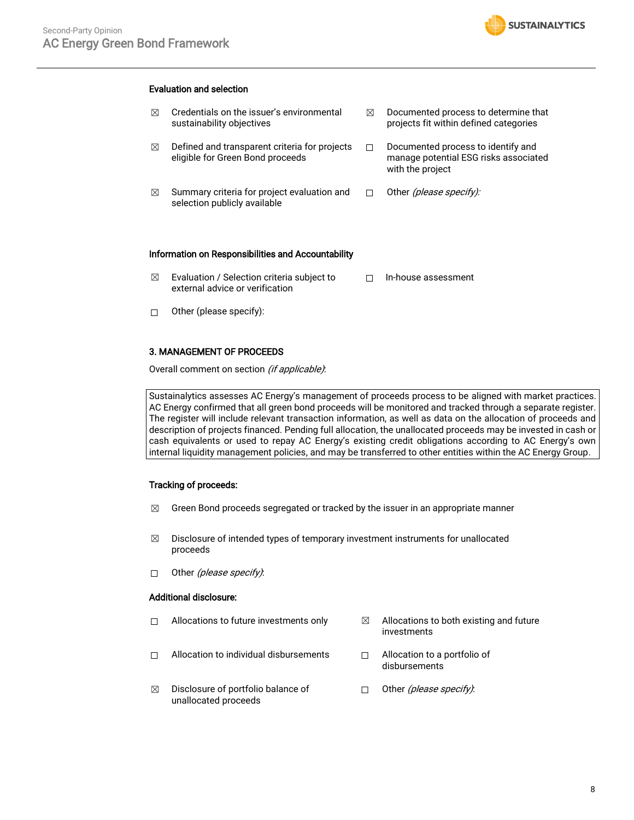

#### Evaluation and selection

- $\boxtimes$  Credentials on the issuer's environmental sustainability objectives  $\boxtimes$  Defined and transparent criteria for projects eligible for Green Bond proceeds
- $\boxtimes$  Summary criteria for project evaluation and selection publicly available
- $\boxtimes$  Documented process to determine that projects fit within defined categories
- ☐ Documented process to identify and manage potential ESG risks associated with the project
- □ Other (please specify):

#### Information on Responsibilities and Accountability

- $\boxtimes$  Evaluation / Selection criteria subject to external advice or verification ☐ In-house assessment
- $\Box$  Other (please specify):

#### 3. MANAGEMENT OF PROCEEDS

Overall comment on section (if applicable):

Sustainalytics assesses AC Energy's management of proceeds process to be aligned with market practices. AC Energy confirmed that all green bond proceeds will be monitored and tracked through a separate register. The register will include relevant transaction information, as well as data on the allocation of proceeds and description of projects financed. Pending full allocation, the unallocated proceeds may be invested in cash or cash equivalents or used to repay AC Energy's existing credit obligations according to AC Energy's own internal liquidity management policies, and may be transferred to other entities within the AC Energy Group.

#### Tracking of proceeds:

- $\boxtimes$  Green Bond proceeds segregated or tracked by the issuer in an appropriate manner
- $\boxtimes$  Disclosure of intended types of temporary investment instruments for unallocated proceeds
- □ Other *(please specify)*:

#### Additional disclosure:

- $\Box$  Allocations to future investments only  $\boxtimes$  Allocations to both existing and future
- ☐ Allocation to individual disbursements ☐ Allocation to a portfolio of
- investments

disbursements

 $\boxtimes$  Disclosure of portfolio balance of unallocated proceeds □ Other (please specify):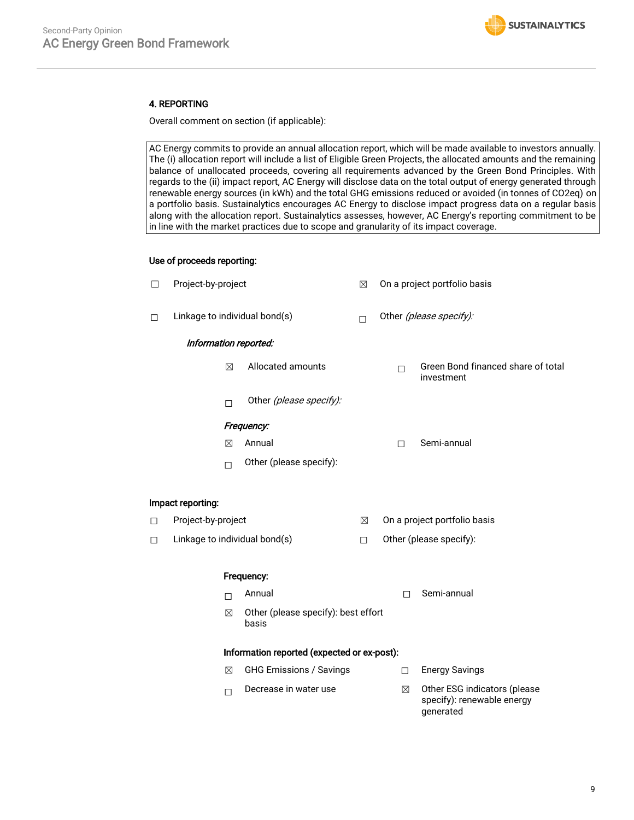

#### 4. REPORTING

Overall comment on section (if applicable):

AC Energy commits to provide an annual allocation report, which will be made available to investors annually. The (i) allocation report will include a list of Eligible Green Projects, the allocated amounts and the remaining balance of unallocated proceeds, covering all requirements advanced by the Green Bond Principles. With regards to the (ii) impact report, AC Energy will disclose data on the total output of energy generated through renewable energy sources (in kWh) and the total GHG emissions reduced or avoided (in tonnes of CO2eq) on a portfolio basis. Sustainalytics encourages AC Energy to disclose impact progress data on a regular basis along with the allocation report. Sustainalytics assesses, however, AC Energy's reporting commitment to be in line with the market practices due to scope and granularity of its impact coverage.

#### Use of proceeds reporting:

| $\Box$                                      | Project-by-project            |             | ⊠                                            | On a project portfolio basis |   |                         |                                                                         |
|---------------------------------------------|-------------------------------|-------------|----------------------------------------------|------------------------------|---|-------------------------|-------------------------------------------------------------------------|
| □                                           | Linkage to individual bond(s) |             | $\Box$                                       | Other (please specify):      |   |                         |                                                                         |
| Information reported:                       |                               |             |                                              |                              |   |                         |                                                                         |
|                                             |                               | $\boxtimes$ | Allocated amounts                            |                              | п |                         | Green Bond financed share of total<br>investment                        |
|                                             |                               | П           | Other (please specify):                      |                              |   |                         |                                                                         |
| Frequency:                                  |                               |             |                                              |                              |   |                         |                                                                         |
|                                             |                               | $\boxtimes$ | Annual                                       |                              | П |                         | Semi-annual                                                             |
|                                             |                               | $\Box$      | Other (please specify):                      |                              |   |                         |                                                                         |
|                                             | Impact reporting:             |             |                                              |                              |   |                         |                                                                         |
| □                                           | Project-by-project            |             |                                              | $\boxtimes$                  |   |                         | On a project portfolio basis                                            |
| □                                           | Linkage to individual bond(s) |             | $\Box$                                       |                              |   | Other (please specify): |                                                                         |
|                                             | Frequency:                    |             |                                              |                              |   |                         |                                                                         |
|                                             |                               | П           | Annual                                       |                              |   | П                       | Semi-annual                                                             |
|                                             |                               | $\boxtimes$ | Other (please specify): best effort<br>basis |                              |   |                         |                                                                         |
| Information reported (expected or ex-post): |                               |             |                                              |                              |   |                         |                                                                         |
|                                             |                               | $\boxtimes$ | <b>GHG Emissions / Savings</b>               |                              |   | П.                      | <b>Energy Savings</b>                                                   |
|                                             |                               | П           | Decrease in water use                        |                              |   | $\boxtimes$             | Other ESG indicators (please<br>specify): renewable energy<br>generated |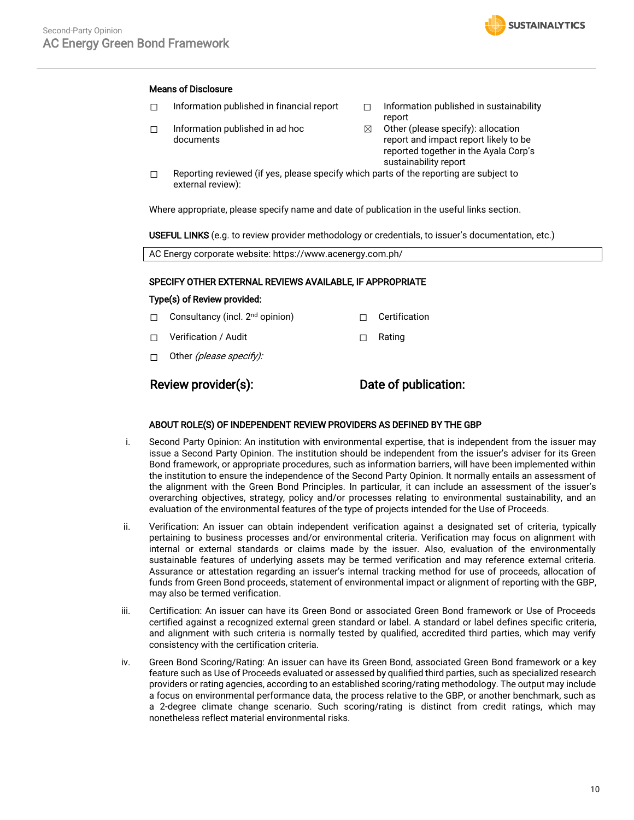#### Means of Disclosure

- ☐ Information published in financial report ☐ Information published in sustainability
- ☐ Information published in ad hoc documents
- report

**SUSTAINALYTICS** 

- $\boxtimes$  Other (please specify): allocation report and impact report likely to be reported together in the Ayala Corp's sustainability report
- $\Box$  Reporting reviewed (if yes, please specify which parts of the reporting are subject to external review):

Where appropriate, please specify name and date of publication in the useful links section.

USEFUL LINKS (e.g. to review provider methodology or credentials, to issuer's documentation, etc.)

AC Energy corporate website: https://www.acenergy.com.ph/

#### SPECIFY OTHER EXTERNAL REVIEWS AVAILABLE, IF APPROPRIATE

#### Type(s) of Review provided:

- ☐ Consultancy (incl. 2nd opinion) ☐ Certification
- ☐ Verification / Audit ☐ Rating
- □ Other (*please specify):*

## Review provider(s): Date of publication:

#### ABOUT ROLE(S) OF INDEPENDENT REVIEW PROVIDERS AS DEFINED BY THE GBP

- i. Second Party Opinion: An institution with environmental expertise, that is independent from the issuer may issue a Second Party Opinion. The institution should be independent from the issuer's adviser for its Green Bond framework, or appropriate procedures, such as information barriers, will have been implemented within the institution to ensure the independence of the Second Party Opinion. It normally entails an assessment of the alignment with the Green Bond Principles. In particular, it can include an assessment of the issuer's overarching objectives, strategy, policy and/or processes relating to environmental sustainability, and an evaluation of the environmental features of the type of projects intended for the Use of Proceeds.
- ii. Verification: An issuer can obtain independent verification against a designated set of criteria, typically pertaining to business processes and/or environmental criteria. Verification may focus on alignment with internal or external standards or claims made by the issuer. Also, evaluation of the environmentally sustainable features of underlying assets may be termed verification and may reference external criteria. Assurance or attestation regarding an issuer's internal tracking method for use of proceeds, allocation of funds from Green Bond proceeds, statement of environmental impact or alignment of reporting with the GBP, may also be termed verification.
- iii. Certification: An issuer can have its Green Bond or associated Green Bond framework or Use of Proceeds certified against a recognized external green standard or label. A standard or label defines specific criteria, and alignment with such criteria is normally tested by qualified, accredited third parties, which may verify consistency with the certification criteria.
- iv. Green Bond Scoring/Rating: An issuer can have its Green Bond, associated Green Bond framework or a key feature such as Use of Proceeds evaluated or assessed by qualified third parties, such as specialized research providers or rating agencies, according to an established scoring/rating methodology. The output may include a focus on environmental performance data, the process relative to the GBP, or another benchmark, such as a 2-degree climate change scenario. Such scoring/rating is distinct from credit ratings, which may nonetheless reflect material environmental risks.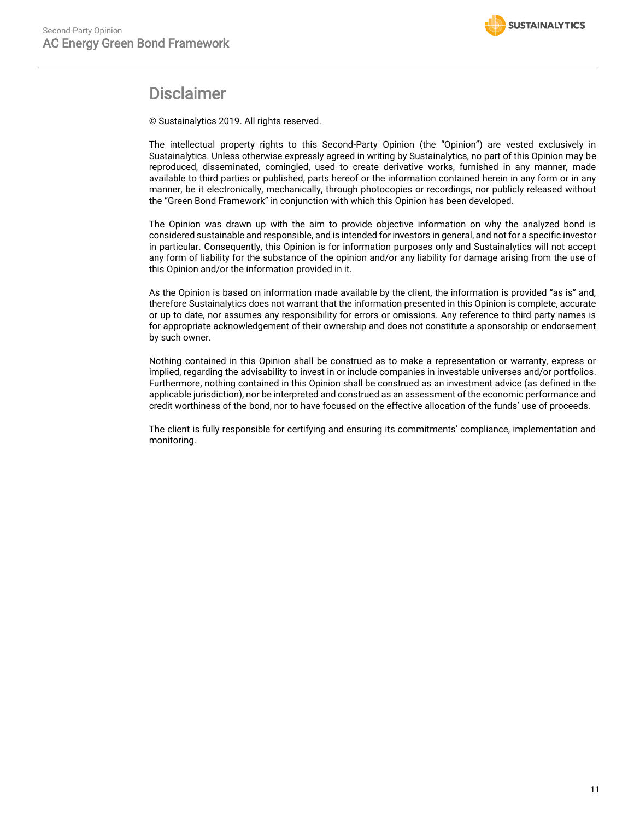

# **Disclaimer**

© Sustainalytics 2019. All rights reserved.

The intellectual property rights to this Second-Party Opinion (the "Opinion") are vested exclusively in Sustainalytics. Unless otherwise expressly agreed in writing by Sustainalytics, no part of this Opinion may be reproduced, disseminated, comingled, used to create derivative works, furnished in any manner, made available to third parties or published, parts hereof or the information contained herein in any form or in any manner, be it electronically, mechanically, through photocopies or recordings, nor publicly released without the "Green Bond Framework" in conjunction with which this Opinion has been developed.

The Opinion was drawn up with the aim to provide objective information on why the analyzed bond is considered sustainable and responsible, and is intended for investors in general, and not for a specific investor in particular. Consequently, this Opinion is for information purposes only and Sustainalytics will not accept any form of liability for the substance of the opinion and/or any liability for damage arising from the use of this Opinion and/or the information provided in it.

As the Opinion is based on information made available by the client, the information is provided "as is" and, therefore Sustainalytics does not warrant that the information presented in this Opinion is complete, accurate or up to date, nor assumes any responsibility for errors or omissions. Any reference to third party names is for appropriate acknowledgement of their ownership and does not constitute a sponsorship or endorsement by such owner.

Nothing contained in this Opinion shall be construed as to make a representation or warranty, express or implied, regarding the advisability to invest in or include companies in investable universes and/or portfolios. Furthermore, nothing contained in this Opinion shall be construed as an investment advice (as defined in the applicable jurisdiction), nor be interpreted and construed as an assessment of the economic performance and credit worthiness of the bond, nor to have focused on the effective allocation of the funds' use of proceeds.

The client is fully responsible for certifying and ensuring its commitments' compliance, implementation and monitoring.